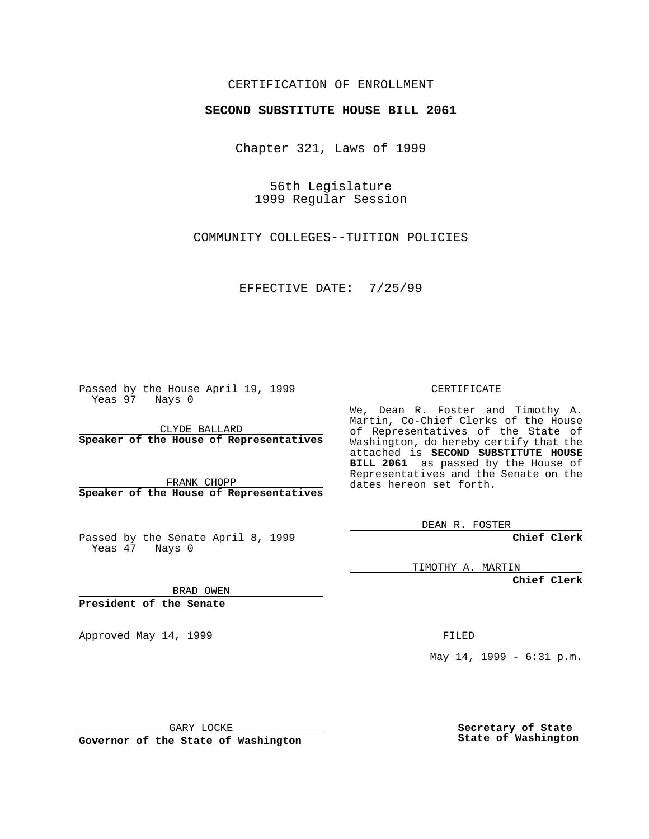## CERTIFICATION OF ENROLLMENT

## **SECOND SUBSTITUTE HOUSE BILL 2061**

Chapter 321, Laws of 1999

56th Legislature 1999 Regular Session

COMMUNITY COLLEGES--TUITION POLICIES

EFFECTIVE DATE: 7/25/99

Passed by the House April 19, 1999 Yeas 97 Nays 0

CLYDE BALLARD **Speaker of the House of Representatives**

FRANK CHOPP **Speaker of the House of Representatives**

Passed by the Senate April 8, 1999 Yeas 47 Nays 0

CERTIFICATE

We, Dean R. Foster and Timothy A. Martin, Co-Chief Clerks of the House of Representatives of the State of Washington, do hereby certify that the attached is **SECOND SUBSTITUTE HOUSE BILL 2061** as passed by the House of Representatives and the Senate on the dates hereon set forth.

DEAN R. FOSTER

**Chief Clerk**

TIMOTHY A. MARTIN

**Chief Clerk**

BRAD OWEN

**President of the Senate**

Approved May 14, 1999 **FILED** 

May 14, 1999 - 6:31 p.m.

GARY LOCKE

**Governor of the State of Washington**

**Secretary of State State of Washington**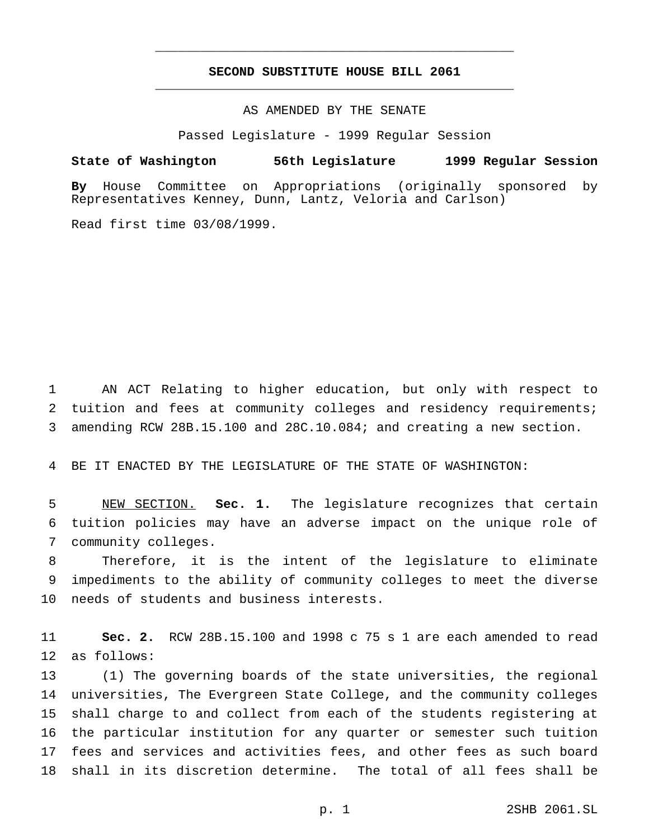## **SECOND SUBSTITUTE HOUSE BILL 2061** \_\_\_\_\_\_\_\_\_\_\_\_\_\_\_\_\_\_\_\_\_\_\_\_\_\_\_\_\_\_\_\_\_\_\_\_\_\_\_\_\_\_\_\_\_\_\_

\_\_\_\_\_\_\_\_\_\_\_\_\_\_\_\_\_\_\_\_\_\_\_\_\_\_\_\_\_\_\_\_\_\_\_\_\_\_\_\_\_\_\_\_\_\_\_

AS AMENDED BY THE SENATE

Passed Legislature - 1999 Regular Session

**State of Washington 56th Legislature 1999 Regular Session**

**By** House Committee on Appropriations (originally sponsored by Representatives Kenney, Dunn, Lantz, Veloria and Carlson)

Read first time 03/08/1999.

 AN ACT Relating to higher education, but only with respect to 2 tuition and fees at community colleges and residency requirements; amending RCW 28B.15.100 and 28C.10.084; and creating a new section.

BE IT ENACTED BY THE LEGISLATURE OF THE STATE OF WASHINGTON:

 NEW SECTION. **Sec. 1.** The legislature recognizes that certain tuition policies may have an adverse impact on the unique role of community colleges.

 Therefore, it is the intent of the legislature to eliminate impediments to the ability of community colleges to meet the diverse needs of students and business interests.

 **Sec. 2.** RCW 28B.15.100 and 1998 c 75 s 1 are each amended to read as follows:

 (1) The governing boards of the state universities, the regional universities, The Evergreen State College, and the community colleges shall charge to and collect from each of the students registering at the particular institution for any quarter or semester such tuition fees and services and activities fees, and other fees as such board shall in its discretion determine. The total of all fees shall be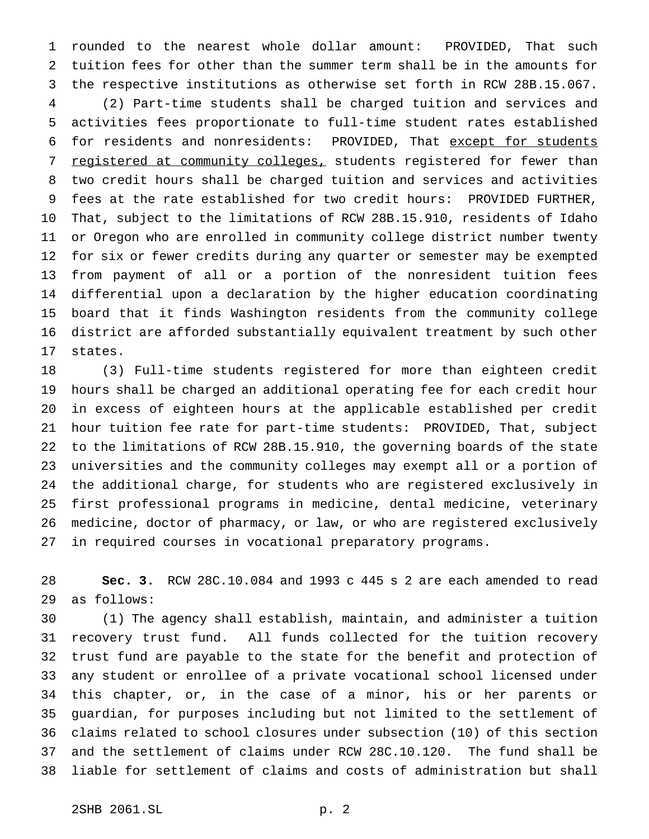rounded to the nearest whole dollar amount: PROVIDED, That such tuition fees for other than the summer term shall be in the amounts for the respective institutions as otherwise set forth in RCW 28B.15.067. (2) Part-time students shall be charged tuition and services and activities fees proportionate to full-time student rates established for residents and nonresidents: PROVIDED, That except for students 7 registered at community colleges, students registered for fewer than two credit hours shall be charged tuition and services and activities fees at the rate established for two credit hours: PROVIDED FURTHER, That, subject to the limitations of RCW 28B.15.910, residents of Idaho or Oregon who are enrolled in community college district number twenty for six or fewer credits during any quarter or semester may be exempted from payment of all or a portion of the nonresident tuition fees differential upon a declaration by the higher education coordinating board that it finds Washington residents from the community college district are afforded substantially equivalent treatment by such other states.

 (3) Full-time students registered for more than eighteen credit hours shall be charged an additional operating fee for each credit hour in excess of eighteen hours at the applicable established per credit hour tuition fee rate for part-time students: PROVIDED, That, subject to the limitations of RCW 28B.15.910, the governing boards of the state universities and the community colleges may exempt all or a portion of the additional charge, for students who are registered exclusively in first professional programs in medicine, dental medicine, veterinary medicine, doctor of pharmacy, or law, or who are registered exclusively in required courses in vocational preparatory programs.

 **Sec. 3.** RCW 28C.10.084 and 1993 c 445 s 2 are each amended to read as follows:

 (1) The agency shall establish, maintain, and administer a tuition recovery trust fund. All funds collected for the tuition recovery trust fund are payable to the state for the benefit and protection of any student or enrollee of a private vocational school licensed under this chapter, or, in the case of a minor, his or her parents or guardian, for purposes including but not limited to the settlement of claims related to school closures under subsection (10) of this section and the settlement of claims under RCW 28C.10.120. The fund shall be liable for settlement of claims and costs of administration but shall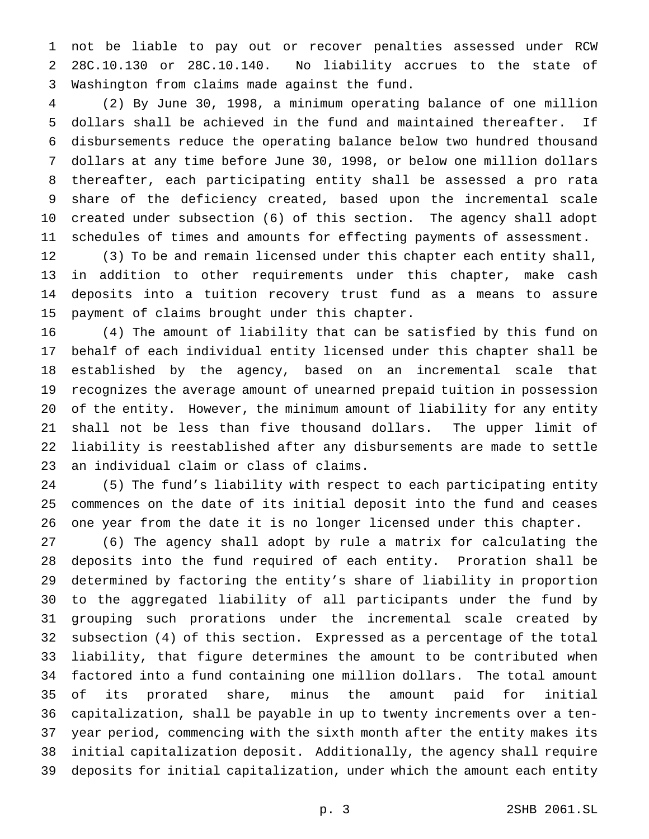not be liable to pay out or recover penalties assessed under RCW 28C.10.130 or 28C.10.140. No liability accrues to the state of Washington from claims made against the fund.

 (2) By June 30, 1998, a minimum operating balance of one million dollars shall be achieved in the fund and maintained thereafter. If disbursements reduce the operating balance below two hundred thousand dollars at any time before June 30, 1998, or below one million dollars thereafter, each participating entity shall be assessed a pro rata share of the deficiency created, based upon the incremental scale created under subsection (6) of this section. The agency shall adopt schedules of times and amounts for effecting payments of assessment.

 (3) To be and remain licensed under this chapter each entity shall, in addition to other requirements under this chapter, make cash deposits into a tuition recovery trust fund as a means to assure payment of claims brought under this chapter.

 (4) The amount of liability that can be satisfied by this fund on behalf of each individual entity licensed under this chapter shall be established by the agency, based on an incremental scale that recognizes the average amount of unearned prepaid tuition in possession of the entity. However, the minimum amount of liability for any entity shall not be less than five thousand dollars. The upper limit of liability is reestablished after any disbursements are made to settle an individual claim or class of claims.

 (5) The fund's liability with respect to each participating entity commences on the date of its initial deposit into the fund and ceases one year from the date it is no longer licensed under this chapter.

 (6) The agency shall adopt by rule a matrix for calculating the deposits into the fund required of each entity. Proration shall be determined by factoring the entity's share of liability in proportion to the aggregated liability of all participants under the fund by grouping such prorations under the incremental scale created by subsection (4) of this section. Expressed as a percentage of the total liability, that figure determines the amount to be contributed when factored into a fund containing one million dollars. The total amount of its prorated share, minus the amount paid for initial capitalization, shall be payable in up to twenty increments over a ten- year period, commencing with the sixth month after the entity makes its initial capitalization deposit. Additionally, the agency shall require deposits for initial capitalization, under which the amount each entity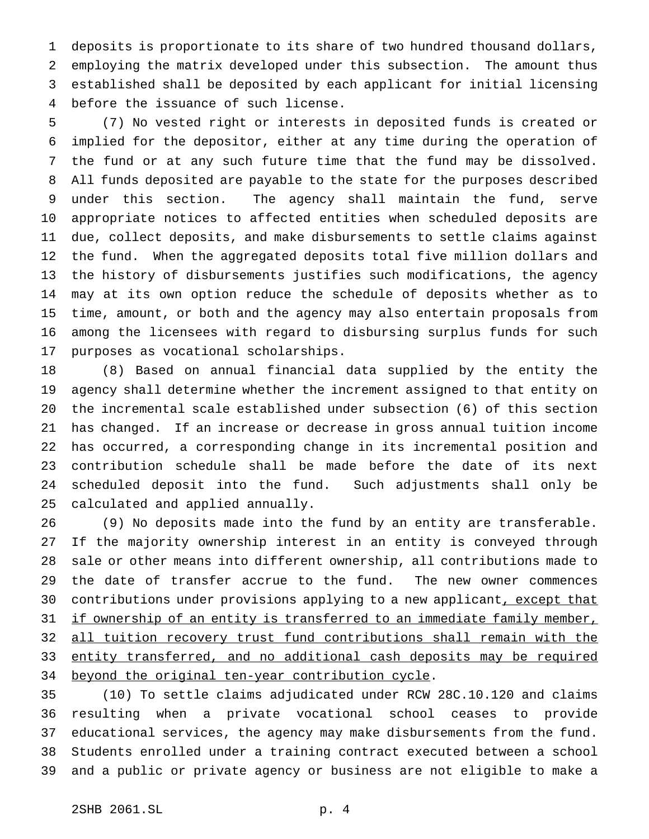deposits is proportionate to its share of two hundred thousand dollars, employing the matrix developed under this subsection. The amount thus established shall be deposited by each applicant for initial licensing before the issuance of such license.

 (7) No vested right or interests in deposited funds is created or implied for the depositor, either at any time during the operation of the fund or at any such future time that the fund may be dissolved. All funds deposited are payable to the state for the purposes described under this section. The agency shall maintain the fund, serve appropriate notices to affected entities when scheduled deposits are due, collect deposits, and make disbursements to settle claims against the fund. When the aggregated deposits total five million dollars and the history of disbursements justifies such modifications, the agency may at its own option reduce the schedule of deposits whether as to time, amount, or both and the agency may also entertain proposals from among the licensees with regard to disbursing surplus funds for such purposes as vocational scholarships.

 (8) Based on annual financial data supplied by the entity the agency shall determine whether the increment assigned to that entity on the incremental scale established under subsection (6) of this section has changed. If an increase or decrease in gross annual tuition income has occurred, a corresponding change in its incremental position and contribution schedule shall be made before the date of its next scheduled deposit into the fund. Such adjustments shall only be calculated and applied annually.

 (9) No deposits made into the fund by an entity are transferable. If the majority ownership interest in an entity is conveyed through sale or other means into different ownership, all contributions made to the date of transfer accrue to the fund. The new owner commences 30 contributions under provisions applying to a new applicant, except that 31 if ownership of an entity is transferred to an immediate family member, all tuition recovery trust fund contributions shall remain with the 33 entity transferred, and no additional cash deposits may be required 34 beyond the original ten-year contribution cycle.

 (10) To settle claims adjudicated under RCW 28C.10.120 and claims resulting when a private vocational school ceases to provide educational services, the agency may make disbursements from the fund. Students enrolled under a training contract executed between a school and a public or private agency or business are not eligible to make a